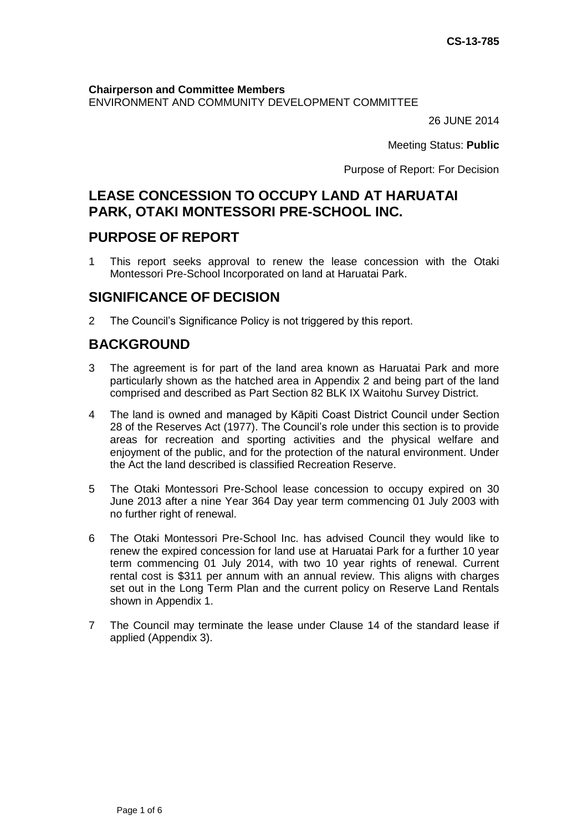**Chairperson and Committee Members** ENVIRONMENT AND COMMUNITY DEVELOPMENT COMMITTEE

26 JUNE 2014

Meeting Status: **Public**

Purpose of Report: For Decision

# **LEASE CONCESSION TO OCCUPY LAND AT HARUATAI PARK, OTAKI MONTESSORI PRE-SCHOOL INC.**

# **PURPOSE OF REPORT**

1 This report seeks approval to renew the lease concession with the Otaki Montessori Pre-School Incorporated on land at Haruatai Park.

## **SIGNIFICANCE OF DECISION**

2 The Council's Significance Policy is not triggered by this report.

# **BACKGROUND**

- 3 The agreement is for part of the land area known as Haruatai Park and more particularly shown as the hatched area in Appendix 2 and being part of the land comprised and described as Part Section 82 BLK IX Waitohu Survey District.
- 4 The land is owned and managed by Kāpiti Coast District Council under Section 28 of the Reserves Act (1977). The Council's role under this section is to provide areas for recreation and sporting activities and the physical welfare and enjoyment of the public, and for the protection of the natural environment. Under the Act the land described is classified Recreation Reserve.
- 5 The Otaki Montessori Pre-School lease concession to occupy expired on 30 June 2013 after a nine Year 364 Day year term commencing 01 July 2003 with no further right of renewal.
- 6 The Otaki Montessori Pre-School Inc. has advised Council they would like to renew the expired concession for land use at Haruatai Park for a further 10 year term commencing 01 July 2014, with two 10 year rights of renewal. Current rental cost is \$311 per annum with an annual review. This aligns with charges set out in the Long Term Plan and the current policy on Reserve Land Rentals shown in Appendix 1.
- 7 The Council may terminate the lease under Clause 14 of the standard lease if applied (Appendix 3).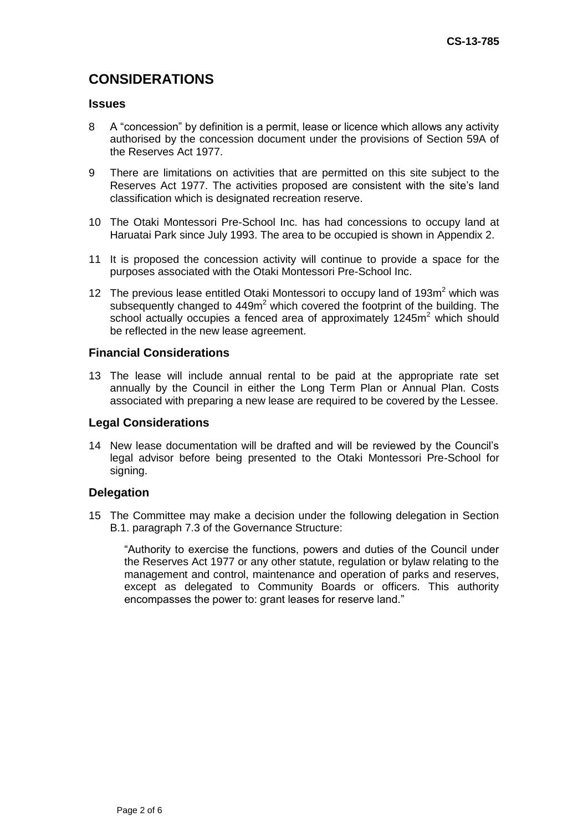# **CONSIDERATIONS**

## **Issues**

- 8 A "concession" by definition is a permit, lease or licence which allows any activity authorised by the concession document under the provisions of Section 59A of the Reserves Act 1977.
- 9 There are limitations on activities that are permitted on this site subject to the Reserves Act 1977. The activities proposed are consistent with the site's land classification which is designated recreation reserve.
- 10 The Otaki Montessori Pre-School Inc. has had concessions to occupy land at Haruatai Park since July 1993. The area to be occupied is shown in Appendix 2.
- 11 It is proposed the concession activity will continue to provide a space for the purposes associated with the Otaki Montessori Pre-School Inc.
- 12 The previous lease entitled Otaki Montessori to occupy land of  $193m^2$  which was subsequently changed to  $449m<sup>2</sup>$  which covered the footprint of the building. The school actually occupies a fenced area of approximately  $1245m<sup>2</sup>$  which should be reflected in the new lease agreement.

### **Financial Considerations**

13 The lease will include annual rental to be paid at the appropriate rate set annually by the Council in either the Long Term Plan or Annual Plan. Costs associated with preparing a new lease are required to be covered by the Lessee.

#### **Legal Considerations**

14 New lease documentation will be drafted and will be reviewed by the Council's legal advisor before being presented to the Otaki Montessori Pre-School for signing.

## **Delegation**

15 The Committee may make a decision under the following delegation in Section B.1. paragraph 7.3 of the Governance Structure:

"Authority to exercise the functions, powers and duties of the Council under the Reserves Act 1977 or any other statute, regulation or bylaw relating to the management and control, maintenance and operation of parks and reserves, except as delegated to Community Boards or officers. This authority encompasses the power to: grant leases for reserve land."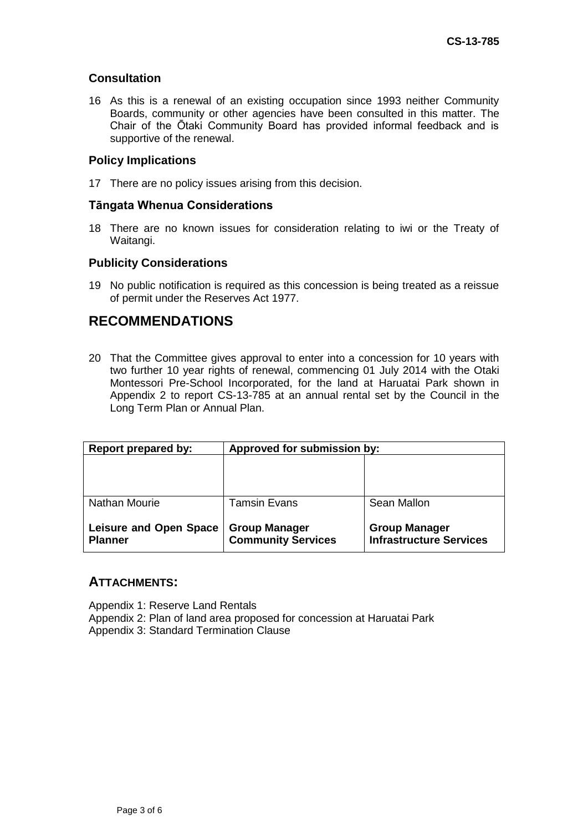## **Consultation**

16 As this is a renewal of an existing occupation since 1993 neither Community Boards, community or other agencies have been consulted in this matter. The Chair of the Ōtaki Community Board has provided informal feedback and is supportive of the renewal.

## **Policy Implications**

17 There are no policy issues arising from this decision.

## **Tāngata Whenua Considerations**

18 There are no known issues for consideration relating to iwi or the Treaty of Waitangi.

## **Publicity Considerations**

19 No public notification is required as this concession is being treated as a reissue of permit under the Reserves Act 1977.

# **RECOMMENDATIONS**

20 That the Committee gives approval to enter into a concession for 10 years with two further 10 year rights of renewal, commencing 01 July 2014 with the Otaki Montessori Pre-School Incorporated, for the land at Haruatai Park shown in Appendix 2 to report CS-13-785 at an annual rental set by the Council in the Long Term Plan or Annual Plan.

| <b>Report prepared by:</b>                      | Approved for submission by:                       |                                                        |
|-------------------------------------------------|---------------------------------------------------|--------------------------------------------------------|
|                                                 |                                                   |                                                        |
|                                                 |                                                   |                                                        |
| Nathan Mourie                                   | <b>Tamsin Evans</b>                               | Sean Mallon                                            |
| <b>Leisure and Open Space</b><br><b>Planner</b> | <b>Group Manager</b><br><b>Community Services</b> | <b>Group Manager</b><br><b>Infrastructure Services</b> |

## **ATTACHMENTS:**

Appendix 1: Reserve Land Rentals Appendix 2: Plan of land area proposed for concession at Haruatai Park Appendix 3: Standard Termination Clause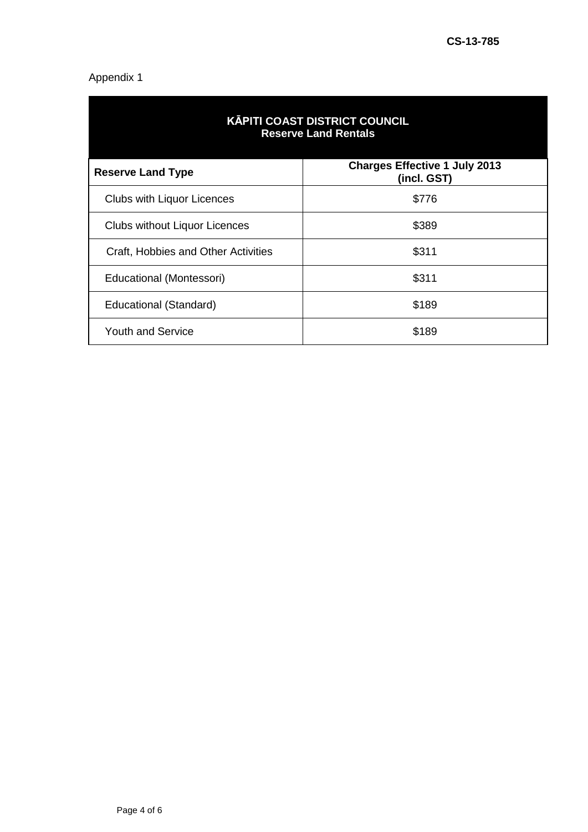## Appendix 1

| <b>KĀPITI COAST DISTRICT COUNCIL</b><br><b>Reserve Land Rentals</b> |                                                     |  |
|---------------------------------------------------------------------|-----------------------------------------------------|--|
| <b>Reserve Land Type</b>                                            | <b>Charges Effective 1 July 2013</b><br>(incl. GST) |  |
| <b>Clubs with Liquor Licences</b>                                   | \$776                                               |  |
| <b>Clubs without Liquor Licences</b>                                | \$389                                               |  |
| Craft, Hobbies and Other Activities                                 | \$311                                               |  |
| Educational (Montessori)                                            | \$311                                               |  |
| Educational (Standard)                                              | \$189                                               |  |
| <b>Youth and Service</b>                                            | \$189                                               |  |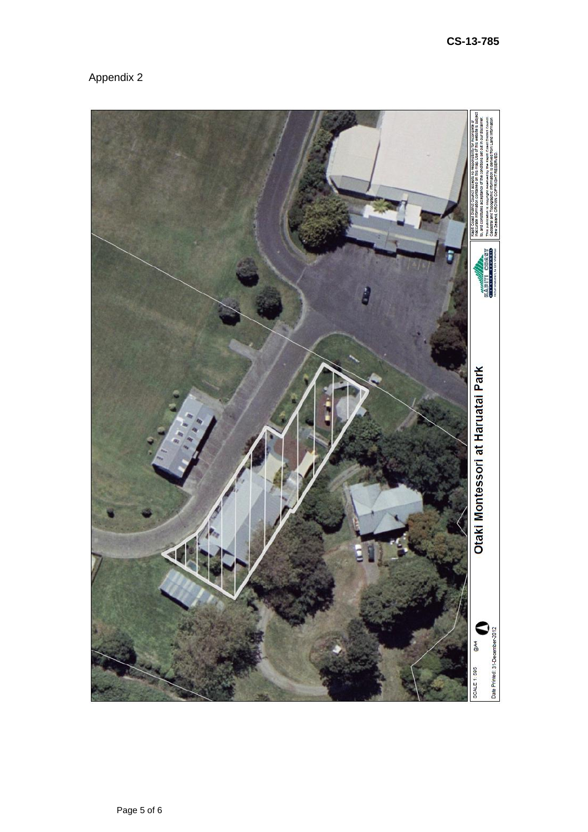

Appendix 2